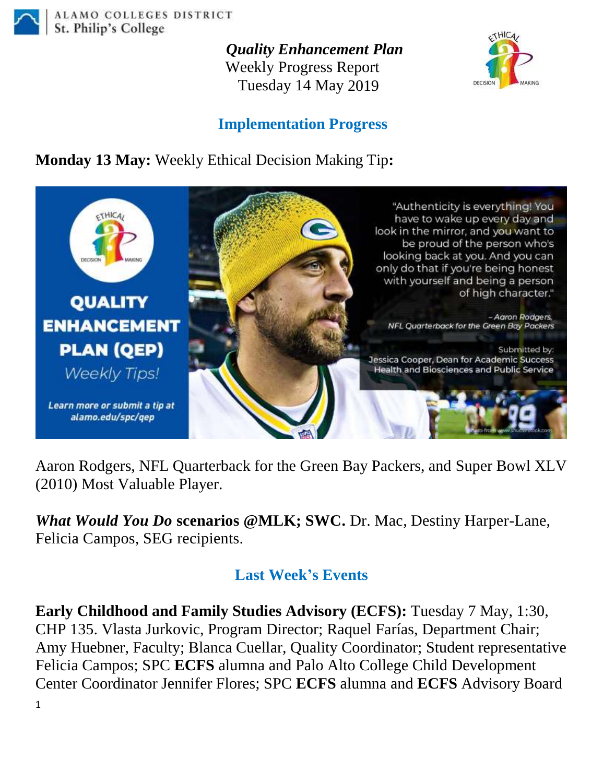

ALAMO COLLEGES DISTRICT St. Philip's College

> *Quality Enhancement Plan* Weekly Progress Report Tuesday 14 May 2019



## **Implementation Progress**

**Monday 13 May:** Weekly Ethical Decision Making Tip**:**



Aaron Rodgers, NFL Quarterback for the Green Bay Packers, and Super Bowl XLV (2010) Most Valuable Player.

*What Would You Do* **scenarios @MLK; SWC.** Dr. Mac, Destiny Harper-Lane, Felicia Campos, SEG recipients.

## **Last Week's Events**

**Early Childhood and Family Studies Advisory (ECFS):** Tuesday 7 May, 1:30, CHP 135. Vlasta Jurkovic, Program Director; Raquel Farías, Department Chair; Amy Huebner, Faculty; Blanca Cuellar, Quality Coordinator; Student representative Felicia Campos; SPC **ECFS** alumna and Palo Alto College Child Development Center Coordinator Jennifer Flores; SPC **ECFS** alumna and **ECFS** Advisory Board